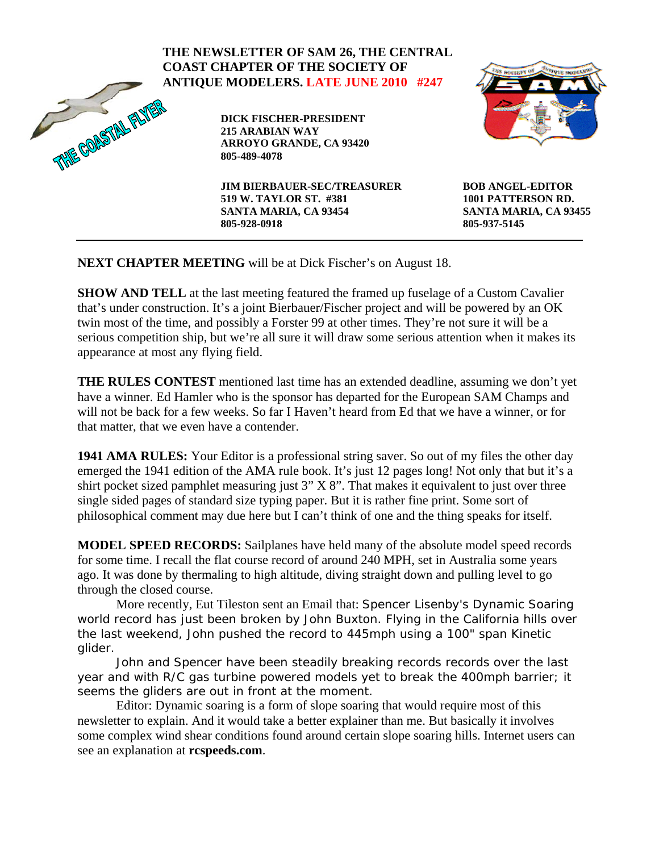|                     | THE NEWSLETTER OF SAM 26, THE CENTRAL<br><b>COAST CHAPTER OF THE SOCIETY OF</b><br><b>ANTIQUE MODELERS. LATE JUNE 2010 #247</b> | WE SOCIETY OF TANKE MODELS                                                             |
|---------------------|---------------------------------------------------------------------------------------------------------------------------------|----------------------------------------------------------------------------------------|
| TIVIE GOASTAL FALV. | <b>DICK FISCHER-PRESIDENT</b><br>215 ARABIAN WAY<br><b>ARROYO GRANDE, CA 93420</b><br>805-489-4078                              |                                                                                        |
|                     | <b>JIM BIERBAUER-SEC/TREASURER</b><br>519 W. TAYLOR ST. #381<br>SANTA MARIA, CA 93454<br>805-928-0918                           | <b>BOB ANGEL-EDITOR</b><br>1001 PATTERSON RD.<br>SANTA MARIA, CA 93455<br>805-937-5145 |

**NEXT CHAPTER MEETING** will be at Dick Fischer's on August 18.

**SHOW AND TELL** at the last meeting featured the framed up fuselage of a Custom Cavalier that's under construction. It's a joint Bierbauer/Fischer project and will be powered by an OK twin most of the time, and possibly a Forster 99 at other times. They're not sure it will be a serious competition ship, but we're all sure it will draw some serious attention when it makes its appearance at most any flying field.

**THE RULES CONTEST** mentioned last time has an extended deadline, assuming we don't yet have a winner. Ed Hamler who is the sponsor has departed for the European SAM Champs and will not be back for a few weeks. So far I Haven't heard from Ed that we have a winner, or for that matter, that we even have a contender.

**1941 AMA RULES:** Your Editor is a professional string saver. So out of my files the other day emerged the 1941 edition of the AMA rule book. It's just 12 pages long! Not only that but it's a shirt pocket sized pamphlet measuring just 3" X 8". That makes it equivalent to just over three single sided pages of standard size typing paper. But it is rather fine print. Some sort of philosophical comment may due here but I can't think of one and the thing speaks for itself.

**MODEL SPEED RECORDS:** Sailplanes have held many of the absolute model speed records for some time. I recall the flat course record of around 240 MPH, set in Australia some years ago. It was done by thermaling to high altitude, diving straight down and pulling level to go through the closed course.

More recently, Eut Tileston sent an Email that: Spencer Lisenby's Dynamic Soaring world record has just been broken by John Buxton. Flying in the California hills over the last weekend, John pushed the record to 445mph using a 100" span Kinetic glider.

John and Spencer have been steadily breaking records records over the last year and with R/C gas turbine powered models yet to break the 400mph barrier; it seems the gliders are out in front at the moment.

Editor: Dynamic soaring is a form of slope soaring that would require most of this newsletter to explain. And it would take a better explainer than me. But basically it involves some complex wind shear conditions found around certain slope soaring hills. Internet users can see an explanation at **rcspeeds.com**.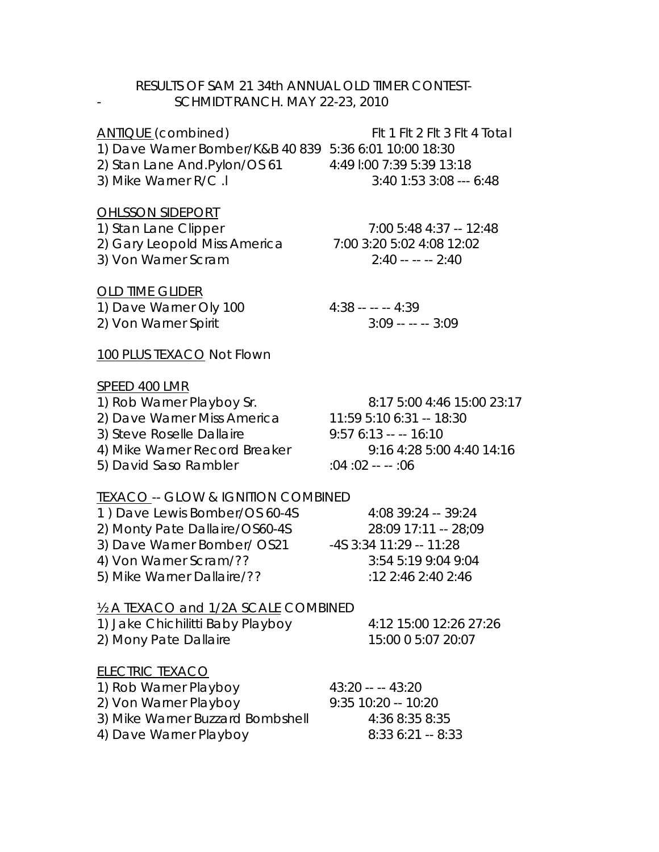## RESULTS OF SAM 21 34th ANNUAL OLD TIMER CONTEST- SCHMIDT RANCH. MAY 22-23, 2010

ANTIQUE (combined) FIt 1 FIt 2 FIt 3 FIt 4 Total 1) Dave Warner Bomber/K&B 40 839 5:36 6:01 10:00 18:30 2) Stan Lane And.Pylon/OS 61 4:49 l:00 7:39 5:39 13:18 3) Mike Warner R/C .l 3:40 1:53 3:08 --- 6:48

#### OHLSSON SIDEPORT

1) Stan Lane Clipper 7:00 5:48 4:37 -- 12:48 2) Gary Leopold Miss America 7:00 3:20 5:02 4:08 12:02 3) Von Warner Scram 2:40 -- -- -- 2:40

## OLD TIME GLIDER

1) Dave Warner Oly 100 4:38 -- -- -- 4:39 2) Von Warner Spirit 3:09 -- -- -- 3:09

## 100 PLUS TEXACO Not Flown

#### SPEED 400 LMR

1) Rob Warner Playboy Sr. 8:17 5:00 4:46 15:00 23:17 2) Dave Warner Miss America 11:59 5:10 6:31 -- 18:30 3) Steve Roselle Dallaire 9:57 6:13 -- -- 16:10 4) Mike Warner Record Breaker 9:16 4:28 5:00 4:40 14:16 5) David Saso Rambler :04 :02 -- -- :06

# TEXACO -- GLOW & IGNITION COMBINED

| 1) Dave Lewis Bomber/OS 60-4S  | 4:08 39:24 -- 39:24     |
|--------------------------------|-------------------------|
| 2) Monty Pate Dallaire/OS60-4S | 28:09 17:11 -- 28:09    |
| 3) Dave Warner Bomber/ OS21    | -4S 3:34 11:29 -- 11:28 |
| 4) Von Warner Scram/??         | 3:54 5:19 9:04 9:04     |
| 5) Mike Warner Dallaire/??     | :12 2:46 2:40 2:46      |

## ½ A TEXACO and 1/2A SCALE COMBINED

| 1) Jake Chichilitti Baby Playboy | 4:12 15:00 12:26 27:26 |
|----------------------------------|------------------------|
| 2) Mony Pate Dallaire            | 15:00 0 5:07 20:07     |

# ELECTRIC TEXACO

| 1) Rob Warner Playboy            | $43:20 -- - 43:20$    |
|----------------------------------|-----------------------|
| 2) Von Warner Playboy            | $9:35$ 10:20 -- 10:20 |
| 3) Mike Warner Buzzard Bombshell | 4:36 8:35 8:35        |
| 4) Dave Warner Playboy           | $8:336:21 - 8:33$     |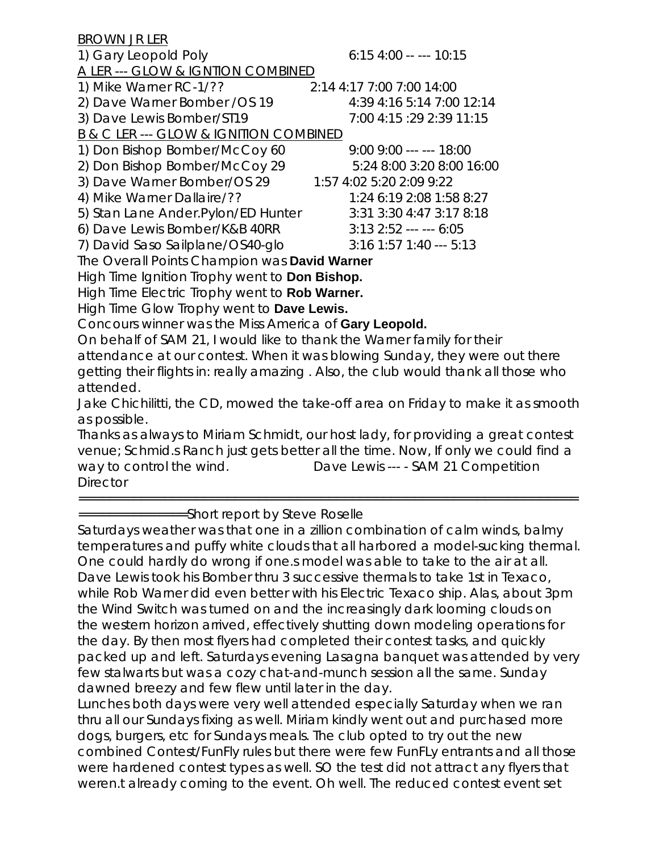BROWN JR LER 1) Gary Leopold Poly 6:15 4:00 -- --- 10:15 A LER --- GLOW & IGNTION COMBINED 1) Mike Warner RC-1/?? 2:14 4:17 7:00 7:00 14:00 2) Dave Warner Bomber /OS 19 4:39 4:16 5:14 7:00 12:14 3) Dave Lewis Bomber/ST19 7:00 4:15 :29 2:39 11:15 B & C LER --- GLOW & IGNITION COMBINED 1) Don Bishop Bomber/McCoy 60 9:00 9:00 --- --- 18:00 2) Don Bishop Bomber/McCoy 29 5:24 8:00 3:20 8:00 16:00 3) Dave Warner Bomber/OS 29 1:57 4:02 5:20 2:09 9:22 4) Mike Warner Dallaire/?? 1:24 6:19 2:08 1:58 8:27 5) Stan Lane Ander.Pylon/ED Hunter 3:31 3:30 4:47 3:17 8:18 6) Dave Lewis Bomber/K&B 40RR 3:13 2:52 --- --- 6:05 7) David Saso Sailplane/OS40-glo 3:16 1:57 1:40 --- 5:13 The Overall Points Champion was **David Warner** 

High Time Ignition Trophy went to **Don Bishop.** 

High Time Electric Trophy went to **Rob Warner.** 

High Time Glow Trophy went to **Dave Lewis.** 

Concours winner was the Miss America of **Gary Leopold.** 

On behalf of SAM 21, I would like to thank the Warner family for their attendance at our contest. When it was blowing Sunday, they were out there getting their flights in: really amazing . Also, the club would thank all those who attended.

Jake Chichilitti, the CD, mowed the take-off area on Friday to make it as smooth as possible.

Thanks as always to Miriam Schmidt, our host lady, for providing a great contest venue; Schmid.s Ranch just gets better all the time. Now, If only we could find a way to control the wind. Dave Lewis --- - SAM 21 Competition **Director** 

================================================================

==============Short report by Steve Roselle

Saturdays weather was that one in a zillion combination of calm winds, balmy temperatures and puffy white clouds that all harbored a model-sucking thermal. One could hardly do wrong if one.s model was able to take to the air at all. Dave Lewis took his Bomber thru 3 successive thermals to take 1st in Texaco, while Rob Warner did even better with his Electric Texaco ship. Alas, about 3pm the Wind Switch was turned on and the increasingly dark looming clouds on the western horizon arrived, effectively shutting down modeling operations for the day. By then most flyers had completed their contest tasks, and quickly packed up and left. Saturdays evening Lasagna banquet was attended by very few stalwarts but was a cozy chat-and-munch session all the same. Sunday dawned breezy and few flew until later in the day.

Lunches both days were very well attended especially Saturday when we ran thru all our Sundays fixing as well. Miriam kindly went out and purchased more dogs, burgers, etc for Sundays meals. The club opted to try out the new combined Contest/FunFly rules but there were few FunFLy entrants and all those were hardened contest types as well. SO the test did not attract any flyers that weren.t already coming to the event. Oh well. The reduced contest event set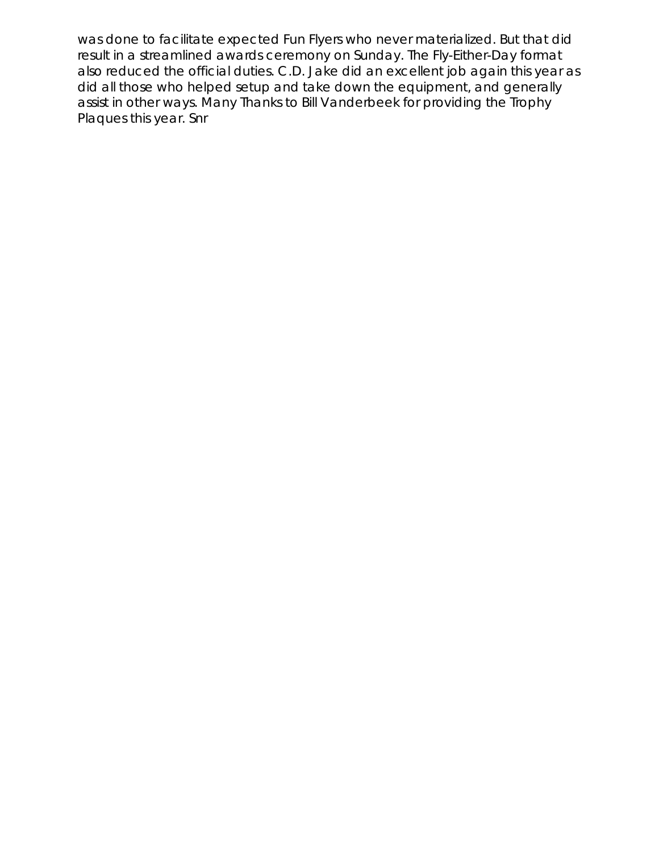was done to facilitate expected Fun Flyers who never materialized. But that did result in a streamlined awards ceremony on Sunday. The Fly-Either-Day format also reduced the official duties. C.D. Jake did an excellent job again this year as did all those who helped setup and take down the equipment, and generally assist in other ways. Many Thanks to Bill Vanderbeek for providing the Trophy Plaques this year. Snr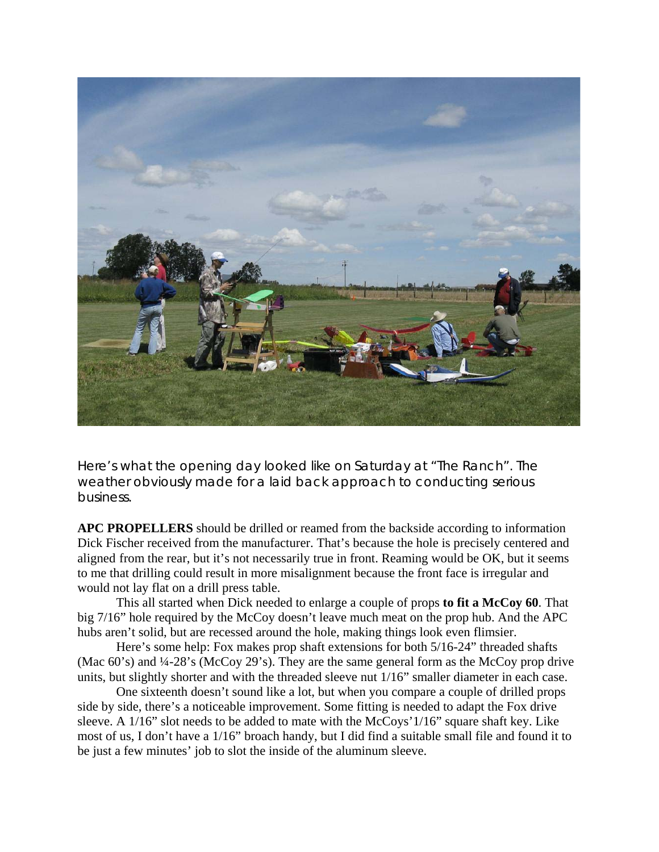

Here's what the opening day looked like on Saturday at "The Ranch". The weather obviously made for a laid back approach to conducting serious business.

**APC PROPELLERS** should be drilled or reamed from the backside according to information Dick Fischer received from the manufacturer. That's because the hole is precisely centered and aligned from the rear, but it's not necessarily true in front. Reaming would be OK, but it seems to me that drilling could result in more misalignment because the front face is irregular and would not lay flat on a drill press table.

 This all started when Dick needed to enlarge a couple of props **to fit a McCoy 60**. That big 7/16" hole required by the McCoy doesn't leave much meat on the prop hub. And the APC hubs aren't solid, but are recessed around the hole, making things look even flimsier.

Here's some help: Fox makes prop shaft extensions for both 5/16-24" threaded shafts (Mac 60's) and ¼-28's (McCoy 29's). They are the same general form as the McCoy prop drive units, but slightly shorter and with the threaded sleeve nut 1/16" smaller diameter in each case.

One sixteenth doesn't sound like a lot, but when you compare a couple of drilled props side by side, there's a noticeable improvement. Some fitting is needed to adapt the Fox drive sleeve. A 1/16" slot needs to be added to mate with the McCoys' 1/16" square shaft key. Like most of us, I don't have a 1/16" broach handy, but I did find a suitable small file and found it to be just a few minutes' job to slot the inside of the aluminum sleeve.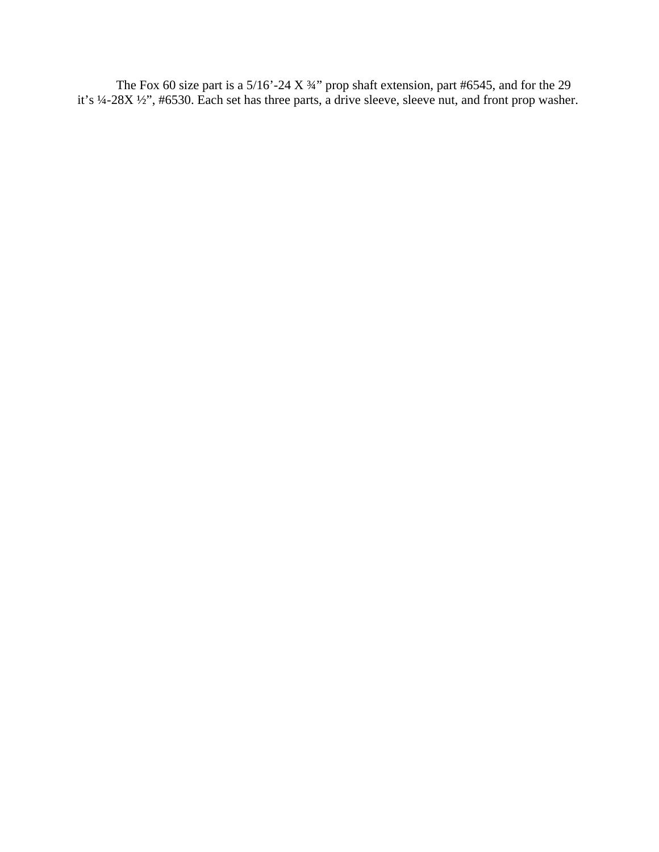The Fox 60 size part is a  $5/16'$ -24 X $\frac{3}{4}$ " prop shaft extension, part #6545, and for the 29 it's ¼-28X ½", #6530. Each set has three parts, a drive sleeve, sleeve nut, and front prop washer.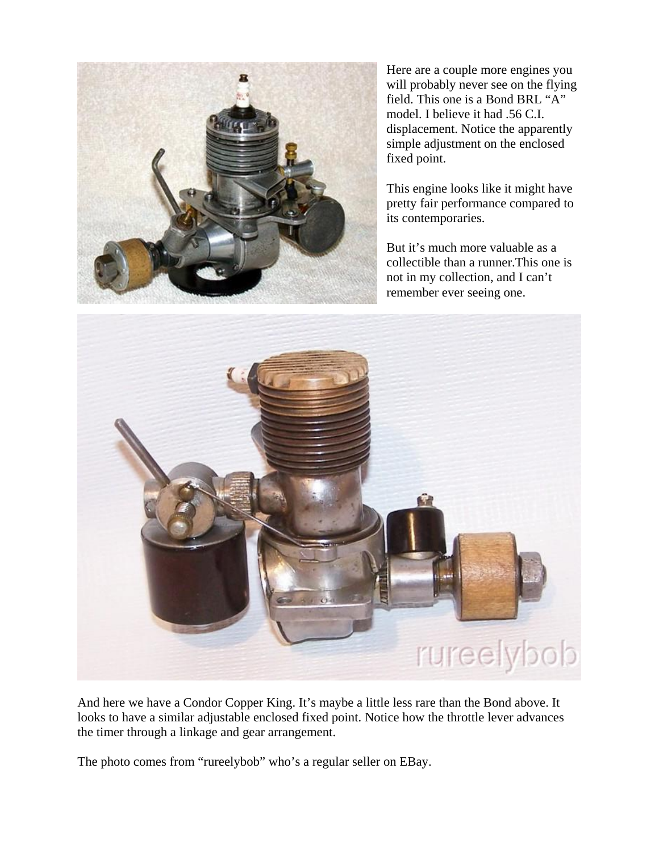

Here are a couple more engines you will probably never see on the flying field. This one is a Bond BRL "A" model. I believe it had .56 C.I. displacement. Notice the apparently simple adjustment on the enclosed fixed point.

This engine looks like it might have pretty fair performance compared to its contemporaries.

But it's much more valuable as a collectible than a runner.This one is not in my collection, and I can't remember ever seeing one.



And here we have a Condor Copper King. It's maybe a little less rare than the Bond above. It looks to have a similar adjustable enclosed fixed point. Notice how the throttle lever advances the timer through a linkage and gear arrangement.

The photo comes from "rureelybob" who's a regular seller on EBay.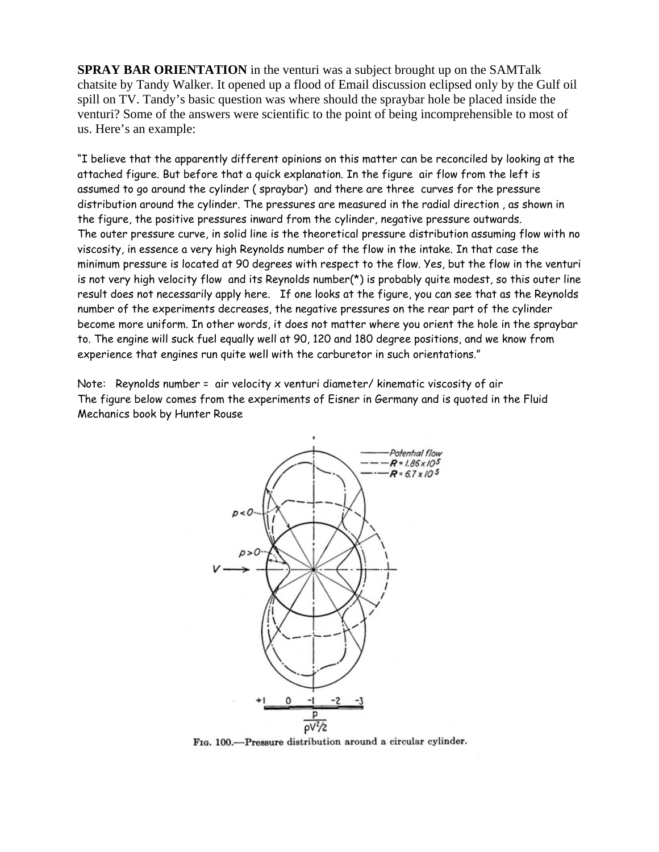**SPRAY BAR ORIENTATION** in the venturi was a subject brought up on the SAMTalk chatsite by Tandy Walker. It opened up a flood of Email discussion eclipsed only by the Gulf oil spill on TV. Tandy's basic question was where should the spraybar hole be placed inside the venturi? Some of the answers were scientific to the point of being incomprehensible to most of us. Here's an example:

"I believe that the apparently different opinions on this matter can be reconciled by looking at the attached figure. But before that a quick explanation. In the figure air flow from the left is assumed to go around the cylinder ( spraybar) and there are three curves for the pressure distribution around the cylinder. The pressures are measured in the radial direction , as shown in the figure, the positive pressures inward from the cylinder, negative pressure outwards. The outer pressure curve, in solid line is the theoretical pressure distribution assuming flow with no viscosity, in essence a very high Reynolds number of the flow in the intake. In that case the minimum pressure is located at 90 degrees with respect to the flow. Yes, but the flow in the venturi is not very high velocity flow and its Reynolds number( $\star$ ) is probably quite modest, so this outer line result does not necessarily apply here. If one looks at the figure, you can see that as the Reynolds number of the experiments decreases, the negative pressures on the rear part of the cylinder become more uniform. In other words, it does not matter where you orient the hole in the spraybar to. The engine will suck fuel equally well at 90, 120 and 180 degree positions, and we know from experience that engines run quite well with the carburetor in such orientations."

Note: Reynolds number = air velocity x venturi diameter/ kinematic viscosity of air The figure below comes from the experiments of Eisner in Germany and is quoted in the Fluid Mechanics book by Hunter Rouse



FIG. 100.-Pressure distribution around a circular cylinder.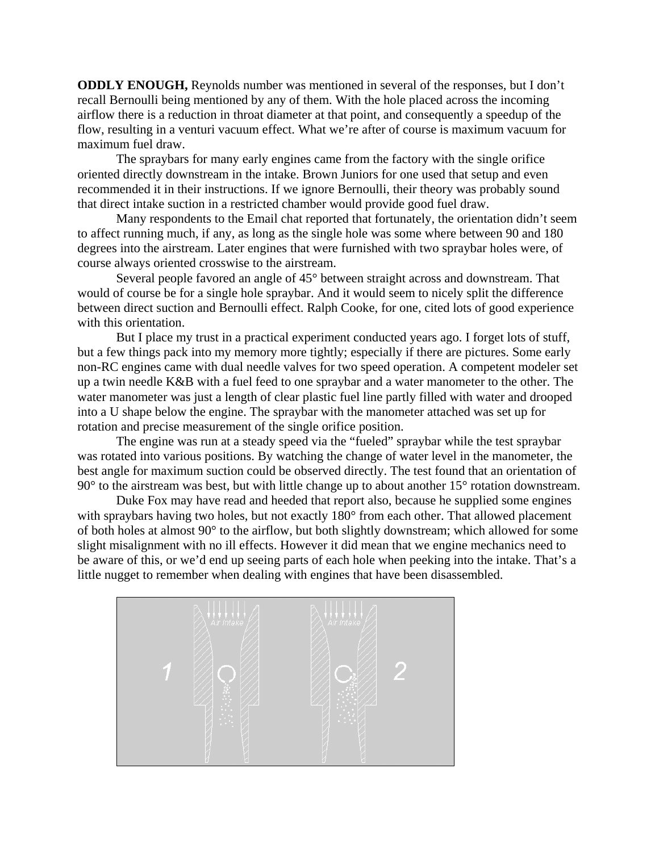**ODDLY ENOUGH,** Reynolds number was mentioned in several of the responses, but I don't recall Bernoulli being mentioned by any of them. With the hole placed across the incoming airflow there is a reduction in throat diameter at that point, and consequently a speedup of the flow, resulting in a venturi vacuum effect. What we're after of course is maximum vacuum for maximum fuel draw.

The spraybars for many early engines came from the factory with the single orifice oriented directly downstream in the intake. Brown Juniors for one used that setup and even recommended it in their instructions. If we ignore Bernoulli, their theory was probably sound that direct intake suction in a restricted chamber would provide good fuel draw.

Many respondents to the Email chat reported that fortunately, the orientation didn't seem to affect running much, if any, as long as the single hole was some where between 90 and 180 degrees into the airstream. Later engines that were furnished with two spraybar holes were, of course always oriented crosswise to the airstream.

Several people favored an angle of 45° between straight across and downstream. That would of course be for a single hole spraybar. And it would seem to nicely split the difference between direct suction and Bernoulli effect. Ralph Cooke, for one, cited lots of good experience with this orientation.

But I place my trust in a practical experiment conducted years ago. I forget lots of stuff, but a few things pack into my memory more tightly; especially if there are pictures. Some early non-RC engines came with dual needle valves for two speed operation. A competent modeler set up a twin needle K&B with a fuel feed to one spraybar and a water manometer to the other. The water manometer was just a length of clear plastic fuel line partly filled with water and drooped into a U shape below the engine. The spraybar with the manometer attached was set up for rotation and precise measurement of the single orifice position.

The engine was run at a steady speed via the "fueled" spraybar while the test spraybar was rotated into various positions. By watching the change of water level in the manometer, the best angle for maximum suction could be observed directly. The test found that an orientation of 90° to the airstream was best, but with little change up to about another 15° rotation downstream.

Duke Fox may have read and heeded that report also, because he supplied some engines with spraybars having two holes, but not exactly 180° from each other. That allowed placement of both holes at almost 90° to the airflow, but both slightly downstream; which allowed for some slight misalignment with no ill effects. However it did mean that we engine mechanics need to be aware of this, or we'd end up seeing parts of each hole when peeking into the intake. That's a little nugget to remember when dealing with engines that have been disassembled.

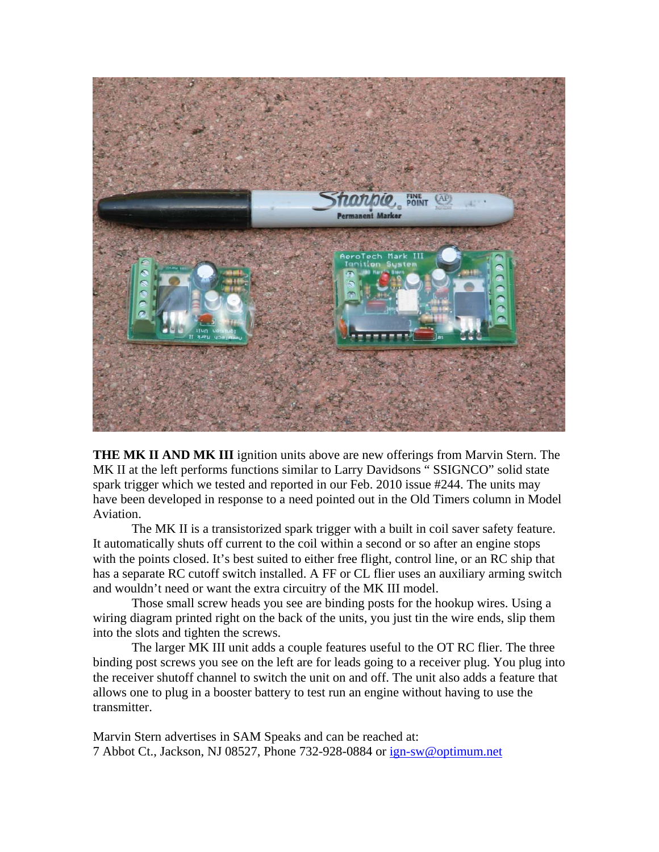

**THE MK II AND MK III** ignition units above are new offerings from Marvin Stern. The MK II at the left performs functions similar to Larry Davidsons " SSIGNCO" solid state spark trigger which we tested and reported in our Feb. 2010 issue #244. The units may have been developed in response to a need pointed out in the Old Timers column in Model Aviation.

 The MK II is a transistorized spark trigger with a built in coil saver safety feature. It automatically shuts off current to the coil within a second or so after an engine stops with the points closed. It's best suited to either free flight, control line, or an RC ship that has a separate RC cutoff switch installed. A FF or CL flier uses an auxiliary arming switch and wouldn't need or want the extra circuitry of the MK III model.

 Those small screw heads you see are binding posts for the hookup wires. Using a wiring diagram printed right on the back of the units, you just tin the wire ends, slip them into the slots and tighten the screws.

 The larger MK III unit adds a couple features useful to the OT RC flier. The three binding post screws you see on the left are for leads going to a receiver plug. You plug into the receiver shutoff channel to switch the unit on and off. The unit also adds a feature that allows one to plug in a booster battery to test run an engine without having to use the transmitter.

Marvin Stern advertises in SAM Speaks and can be reached at: 7 Abbot Ct., Jackson, NJ 08527, Phone 732-928-0884 or [ign-sw@optimum.net](mailto:ign-sw@optimum.net)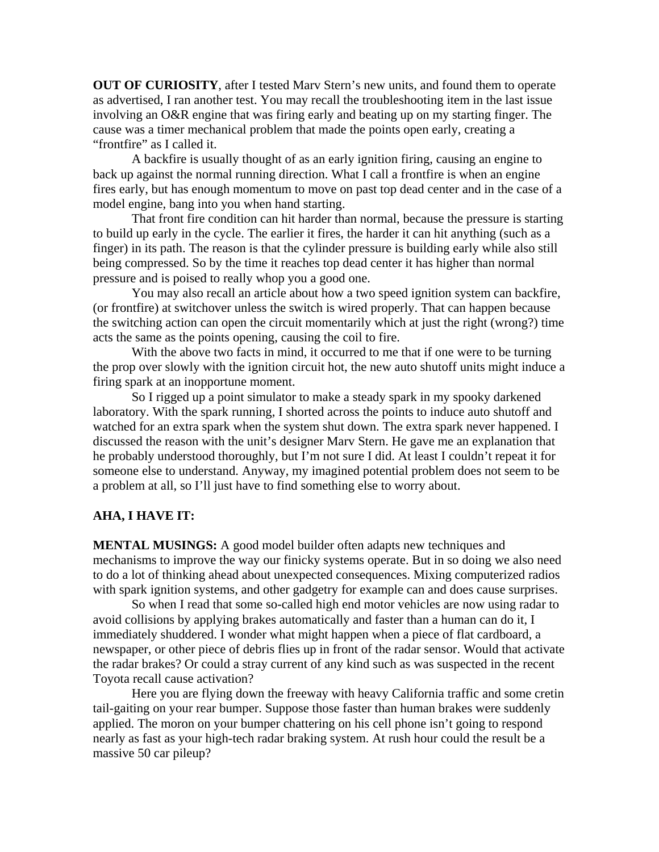**OUT OF CURIOSITY**, after I tested Marv Stern's new units, and found them to operate as advertised, I ran another test. You may recall the troubleshooting item in the last issue involving an O&R engine that was firing early and beating up on my starting finger. The cause was a timer mechanical problem that made the points open early, creating a "frontfire" as I called it.

A backfire is usually thought of as an early ignition firing, causing an engine to back up against the normal running direction. What I call a frontfire is when an engine fires early, but has enough momentum to move on past top dead center and in the case of a model engine, bang into you when hand starting.

 That front fire condition can hit harder than normal, because the pressure is starting to build up early in the cycle. The earlier it fires, the harder it can hit anything (such as a finger) in its path. The reason is that the cylinder pressure is building early while also still being compressed. So by the time it reaches top dead center it has higher than normal pressure and is poised to really whop you a good one.

 You may also recall an article about how a two speed ignition system can backfire, (or frontfire) at switchover unless the switch is wired properly. That can happen because the switching action can open the circuit momentarily which at just the right (wrong?) time acts the same as the points opening, causing the coil to fire.

With the above two facts in mind, it occurred to me that if one were to be turning the prop over slowly with the ignition circuit hot, the new auto shutoff units might induce a firing spark at an inopportune moment.

 So I rigged up a point simulator to make a steady spark in my spooky darkened laboratory. With the spark running, I shorted across the points to induce auto shutoff and watched for an extra spark when the system shut down. The extra spark never happened. I discussed the reason with the unit's designer Marv Stern. He gave me an explanation that he probably understood thoroughly, but I'm not sure I did. At least I couldn't repeat it for someone else to understand. Anyway, my imagined potential problem does not seem to be a problem at all, so I'll just have to find something else to worry about.

#### **AHA, I HAVE IT:**

**MENTAL MUSINGS:** A good model builder often adapts new techniques and mechanisms to improve the way our finicky systems operate. But in so doing we also need to do a lot of thinking ahead about unexpected consequences. Mixing computerized radios with spark ignition systems, and other gadgetry for example can and does cause surprises.

 So when I read that some so-called high end motor vehicles are now using radar to avoid collisions by applying brakes automatically and faster than a human can do it, I immediately shuddered. I wonder what might happen when a piece of flat cardboard, a newspaper, or other piece of debris flies up in front of the radar sensor. Would that activate the radar brakes? Or could a stray current of any kind such as was suspected in the recent Toyota recall cause activation?

 Here you are flying down the freeway with heavy California traffic and some cretin tail-gaiting on your rear bumper. Suppose those faster than human brakes were suddenly applied. The moron on your bumper chattering on his cell phone isn't going to respond nearly as fast as your high-tech radar braking system. At rush hour could the result be a massive 50 car pileup?